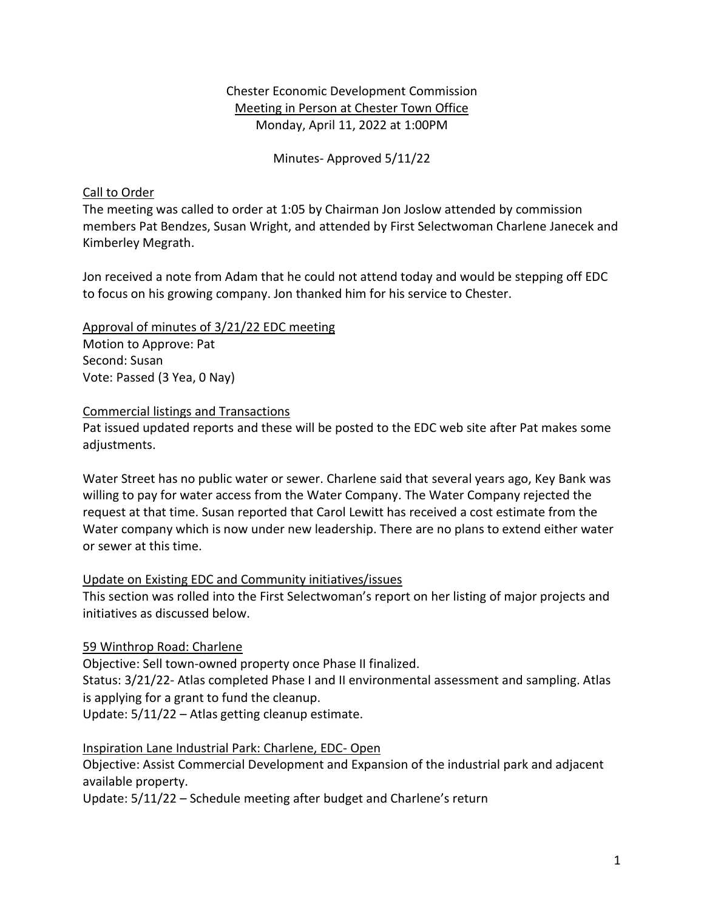## Chester Economic Development Commission Meeting in Person at Chester Town Office Monday, April 11, 2022 at 1:00PM

Minutes- Approved 5/11/22

#### Call to Order

The meeting was called to order at 1:05 by Chairman Jon Joslow attended by commission members Pat Bendzes, Susan Wright, and attended by First Selectwoman Charlene Janecek and Kimberley Megrath.

Jon received a note from Adam that he could not attend today and would be stepping off EDC to focus on his growing company. Jon thanked him for his service to Chester.

Approval of minutes of 3/21/22 EDC meeting Motion to Approve: Pat Second: Susan Vote: Passed (3 Yea, 0 Nay)

#### Commercial listings and Transactions

Pat issued updated reports and these will be posted to the EDC web site after Pat makes some adjustments.

Water Street has no public water or sewer. Charlene said that several years ago, Key Bank was willing to pay for water access from the Water Company. The Water Company rejected the request at that time. Susan reported that Carol Lewitt has received a cost estimate from the Water company which is now under new leadership. There are no plans to extend either water or sewer at this time.

## Update on Existing EDC and Community initiatives/issues

This section was rolled into the First Selectwoman's report on her listing of major projects and initiatives as discussed below.

## 59 Winthrop Road: Charlene

Objective: Sell town-owned property once Phase II finalized.

Status: 3/21/22- Atlas completed Phase I and II environmental assessment and sampling. Atlas is applying for a grant to fund the cleanup.

Update: 5/11/22 – Atlas getting cleanup estimate.

## Inspiration Lane Industrial Park: Charlene, EDC- Open

Objective: Assist Commercial Development and Expansion of the industrial park and adjacent available property.

Update: 5/11/22 – Schedule meeting after budget and Charlene's return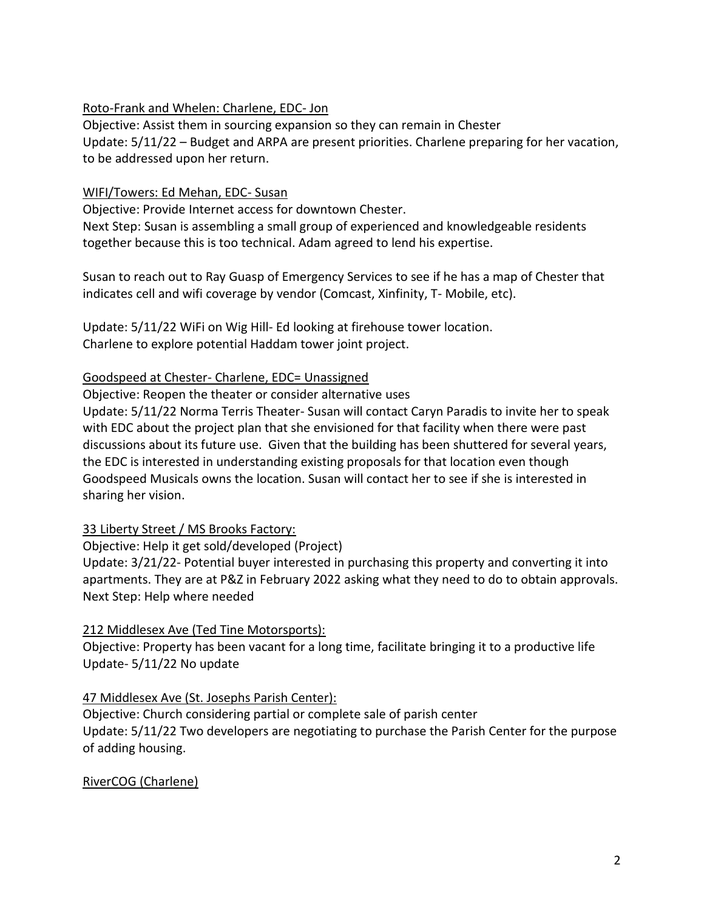## Roto-Frank and Whelen: Charlene, EDC- Jon

Objective: Assist them in sourcing expansion so they can remain in Chester Update: 5/11/22 – Budget and ARPA are present priorities. Charlene preparing for her vacation, to be addressed upon her return.

#### WIFI/Towers: Ed Mehan, EDC- Susan

Objective: Provide Internet access for downtown Chester.

Next Step: Susan is assembling a small group of experienced and knowledgeable residents together because this is too technical. Adam agreed to lend his expertise.

Susan to reach out to Ray Guasp of Emergency Services to see if he has a map of Chester that indicates cell and wifi coverage by vendor (Comcast, Xinfinity, T- Mobile, etc).

Update: 5/11/22 WiFi on Wig Hill- Ed looking at firehouse tower location. Charlene to explore potential Haddam tower joint project.

#### Goodspeed at Chester- Charlene, EDC= Unassigned

Objective: Reopen the theater or consider alternative uses

Update: 5/11/22 Norma Terris Theater- Susan will contact Caryn Paradis to invite her to speak with EDC about the project plan that she envisioned for that facility when there were past discussions about its future use. Given that the building has been shuttered for several years, the EDC is interested in understanding existing proposals for that location even though Goodspeed Musicals owns the location. Susan will contact her to see if she is interested in sharing her vision.

## 33 Liberty Street / MS Brooks Factory:

Objective: Help it get sold/developed (Project)

Update: 3/21/22- Potential buyer interested in purchasing this property and converting it into apartments. They are at P&Z in February 2022 asking what they need to do to obtain approvals. Next Step: Help where needed

## 212 Middlesex Ave (Ted Tine Motorsports):

Objective: Property has been vacant for a long time, facilitate bringing it to a productive life Update- 5/11/22 No update

## 47 Middlesex Ave (St. Josephs Parish Center):

Objective: Church considering partial or complete sale of parish center Update: 5/11/22 Two developers are negotiating to purchase the Parish Center for the purpose of adding housing.

## RiverCOG (Charlene)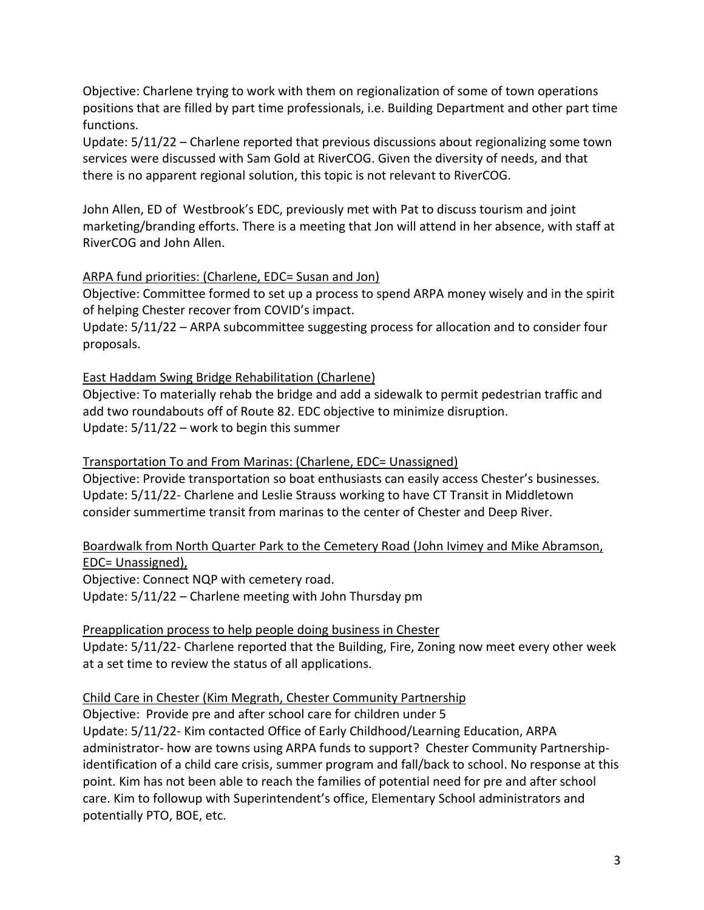Objective: Charlene trying to work with them on regionalization of some of town operations positions that are filled by part time professionals, i.e. Building Department and other part time functions.

Update: 5/11/22 – Charlene reported that previous discussions about regionalizing some town services were discussed with Sam Gold at RiverCOG. Given the diversity of needs, and that there is no apparent regional solution, this topic is not relevant to RiverCOG.

John Allen, ED of Westbrook's EDC, previously met with Pat to discuss tourism and joint marketing/branding efforts. There is a meeting that Jon will attend in her absence, with staff at RiverCOG and John Allen.

## ARPA fund priorities: (Charlene, EDC= Susan and Jon)

Objective: Committee formed to set up a process to spend ARPA money wisely and in the spirit of helping Chester recover from COVID's impact.

Update: 5/11/22 – ARPA subcommittee suggesting process for allocation and to consider four proposals.

#### East Haddam Swing Bridge Rehabilitation (Charlene)

Objective: To materially rehab the bridge and add a sidewalk to permit pedestrian traffic and add two roundabouts off of Route 82. EDC objective to minimize disruption. Update: 5/11/22 – work to begin this summer

#### Transportation To and From Marinas: (Charlene, EDC= Unassigned)

Objective: Provide transportation so boat enthusiasts can easily access Chester's businesses. Update: 5/11/22- Charlene and Leslie Strauss working to have CT Transit in Middletown consider summertime transit from marinas to the center of Chester and Deep River.

## Boardwalk from North Quarter Park to the Cemetery Road (John Ivimey and Mike Abramson, EDC= Unassigned),

Objective: Connect NQP with cemetery road. Update: 5/11/22 – Charlene meeting with John Thursday pm

## Preapplication process to help people doing business in Chester

Update: 5/11/22- Charlene reported that the Building, Fire, Zoning now meet every other week at a set time to review the status of all applications.

## Child Care in Chester (Kim Megrath, Chester Community Partnership

Objective: Provide pre and after school care for children under 5 Update: 5/11/22- Kim contacted Office of Early Childhood/Learning Education, ARPA administrator- how are towns using ARPA funds to support? Chester Community Partnershipidentification of a child care crisis, summer program and fall/back to school. No response at this point. Kim has not been able to reach the families of potential need for pre and after school care. Kim to followup with Superintendent's office, Elementary School administrators and potentially PTO, BOE, etc.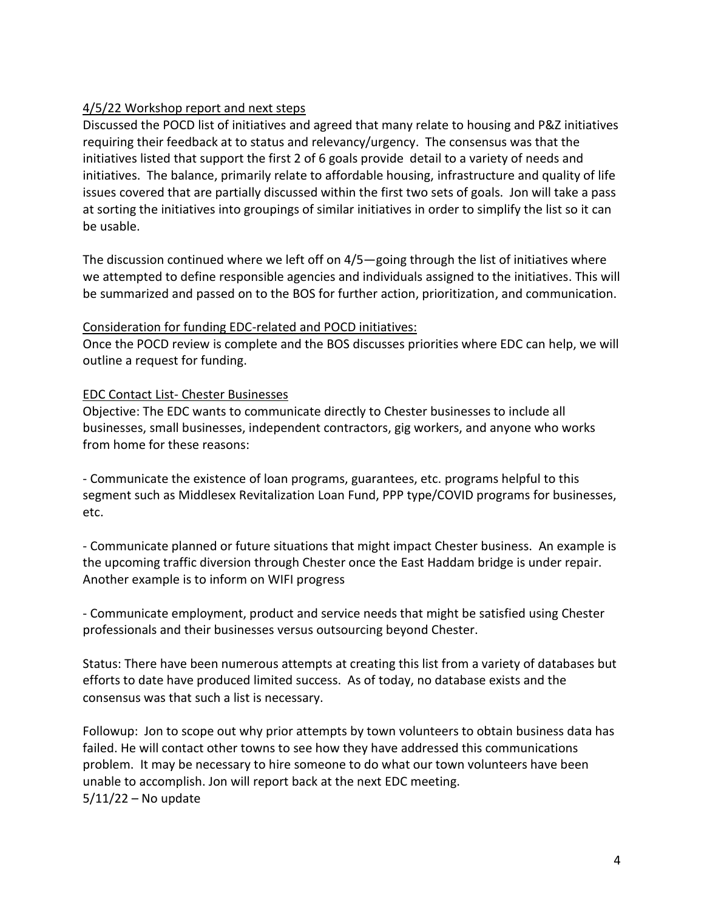# 4/5/22 Workshop report and next steps

Discussed the POCD list of initiatives and agreed that many relate to housing and P&Z initiatives requiring their feedback at to status and relevancy/urgency. The consensus was that the initiatives listed that support the first 2 of 6 goals provide detail to a variety of needs and initiatives. The balance, primarily relate to affordable housing, infrastructure and quality of life issues covered that are partially discussed within the first two sets of goals. Jon will take a pass at sorting the initiatives into groupings of similar initiatives in order to simplify the list so it can be usable.

The discussion continued where we left off on 4/5—going through the list of initiatives where we attempted to define responsible agencies and individuals assigned to the initiatives. This will be summarized and passed on to the BOS for further action, prioritization, and communication.

#### Consideration for funding EDC-related and POCD initiatives:

Once the POCD review is complete and the BOS discusses priorities where EDC can help, we will outline a request for funding.

## EDC Contact List- Chester Businesses

Objective: The EDC wants to communicate directly to Chester businesses to include all businesses, small businesses, independent contractors, gig workers, and anyone who works from home for these reasons:

- Communicate the existence of loan programs, guarantees, etc. programs helpful to this segment such as Middlesex Revitalization Loan Fund, PPP type/COVID programs for businesses, etc.

- Communicate planned or future situations that might impact Chester business. An example is the upcoming traffic diversion through Chester once the East Haddam bridge is under repair. Another example is to inform on WIFI progress

- Communicate employment, product and service needs that might be satisfied using Chester professionals and their businesses versus outsourcing beyond Chester.

Status: There have been numerous attempts at creating this list from a variety of databases but efforts to date have produced limited success. As of today, no database exists and the consensus was that such a list is necessary.

Followup: Jon to scope out why prior attempts by town volunteers to obtain business data has failed. He will contact other towns to see how they have addressed this communications problem. It may be necessary to hire someone to do what our town volunteers have been unable to accomplish. Jon will report back at the next EDC meeting. 5/11/22 – No update